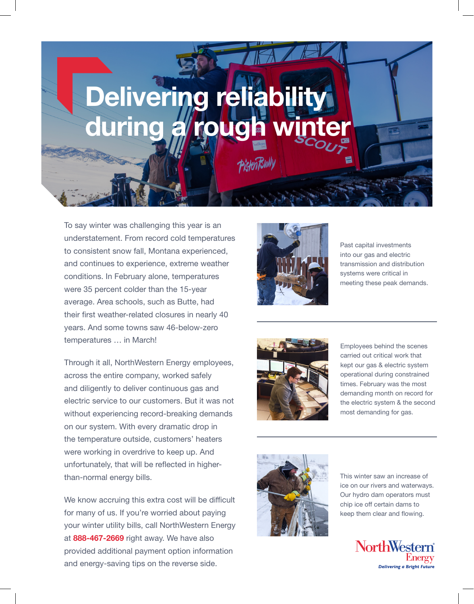# Delivering reliability during a

To say winter was challenging this year is an understatement. From record cold temperatures to consistent snow fall, Montana experienced, and continues to experience, extreme weather conditions. In February alone, temperatures were 35 percent colder than the 15-year average. Area schools, such as Butte, had their first weather-related closures in nearly 40 years. And some towns saw 46-below-zero temperatures … in March!

Through it all, NorthWestern Energy employees, across the entire company, worked safely and diligently to deliver continuous gas and electric service to our customers. But it was not without experiencing record-breaking demands on our system. With every dramatic drop in the temperature outside, customers' heaters were working in overdrive to keep up. And unfortunately, that will be reflected in higherthan-normal energy bills.

We know accruing this extra cost will be difficult for many of us. If you're worried about paying your winter utility bills, call NorthWestern Energy at 888-467-2669 right away. We have also provided additional payment option information and energy-saving tips on the reverse side.



Past capital investments into our gas and electric transmission and distribution systems were critical in meeting these peak demands.



Employees behind the scenes carried out critical work that kept our gas & electric system operational during constrained times. February was the most demanding month on record for the electric system & the second most demanding for gas.



This winter saw an increase of ice on our rivers and waterways. Our hydro dam operators must chip ice off certain dams to keep them clear and flowing.